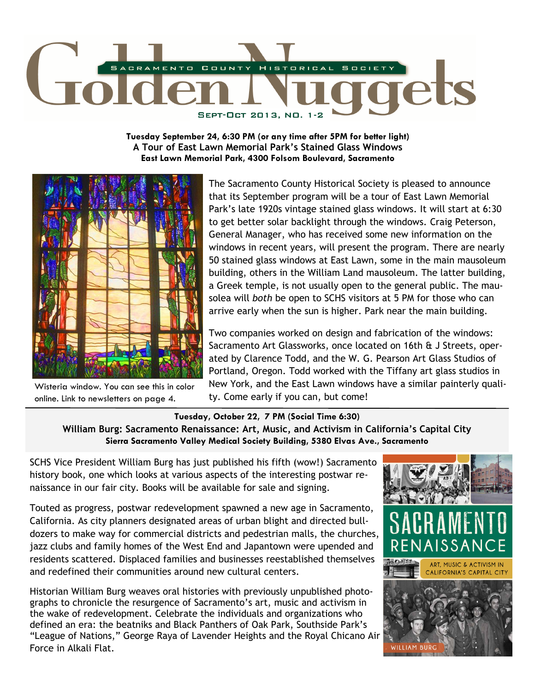

**Tuesday September 24, 6:30 PM (or any time after 5PM for better light) A Tour of East Lawn Memorial Park's Stained Glass Windows East Lawn Memorial Park, 4300 Folsom Boulevard, Sacramento** 



Wisteria window. You can see this in color online. Link to newsletters on page 4.

The Sacramento County Historical Society is pleased to announce that its September program will be a tour of East Lawn Memorial Park's late 1920s vintage stained glass windows. It will start at 6:30 to get better solar backlight through the windows. Craig Peterson, General Manager, who has received some new information on the windows in recent years, will present the program. There are nearly 50 stained glass windows at East Lawn, some in the main mausoleum building, others in the William Land mausoleum. The latter building, a Greek temple, is not usually open to the general public. The mausolea will *both* be open to SCHS visitors at 5 PM for those who can arrive early when the sun is higher. Park near the main building.

Two companies worked on design and fabrication of the windows: Sacramento Art Glassworks, once located on 16th & J Streets, operated by Clarence Todd, and the W. G. Pearson Art Glass Studios of Portland, Oregon. Todd worked with the Tiffany art glass studios in New York, and the East Lawn windows have a similar painterly quality. Come early if you can, but come!

**Tuesday, October 22, 7 PM (Social Time 6:30) William Burg: Sacramento Renaissance: Art, Music, and Activism in California's Capital City Sierra Sacramento Valley Medical Society Building, 5380 Elvas Ave., Sacramento** 

SCHS Vice President William Burg has just published his fifth (wow!) Sacramento history book, one which looks at various aspects of the interesting postwar renaissance in our fair city. Books will be available for sale and signing.

Touted as progress, postwar redevelopment spawned a new age in Sacramento, California. As city planners designated areas of urban blight and directed bulldozers to make way for commercial districts and pedestrian malls, the churches, jazz clubs and family homes of the West End and Japantown were upended and residents scattered. Displaced families and businesses reestablished themselves and redefined their communities around new cultural centers.

Historian William Burg weaves oral histories with previously unpublished photographs to chronicle the resurgence of Sacramento's art, music and activism in the wake of redevelopment. Celebrate the individuals and organizations who defined an era: the beatniks and Black Panthers of Oak Park, Southside Park's "League of Nations," George Raya of Lavender Heights and the Royal Chicano Air Force in Alkali Flat.



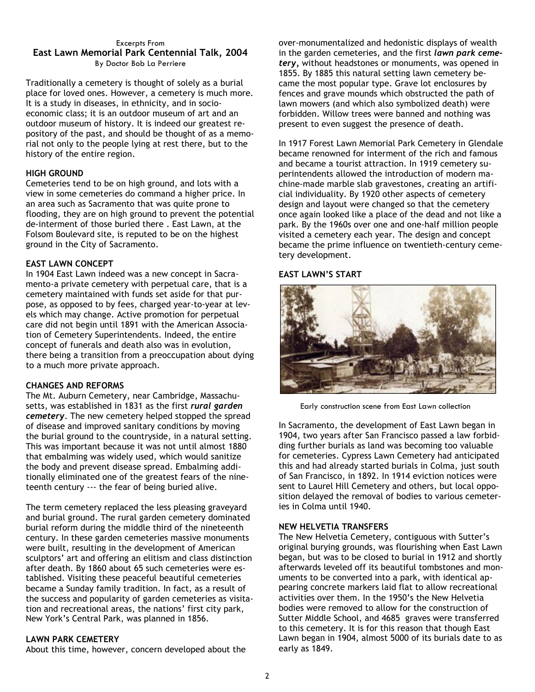#### Excerpts From **East Lawn Memorial Park Centennial Talk, 2004**  By Doctor Bob La Perriere

Traditionally a cemetery is thought of solely as a burial place for loved ones. However, a cemetery is much more. It is a study in diseases, in ethnicity, and in socioeconomic class; it is an outdoor museum of art and an outdoor museum of history. It is indeed our greatest repository of the past, and should be thought of as a memorial not only to the people lying at rest there, but to the history of the entire region.

# **HIGH GROUND**

Cemeteries tend to be on high ground, and lots with a view in some cemeteries do command a higher price. In an area such as Sacramento that was quite prone to flooding, they are on high ground to prevent the potential de-interment of those buried there . East Lawn, at the Folsom Boulevard site, is reputed to be on the highest ground in the City of Sacramento.

## **EAST LAWN CONCEPT**

In 1904 East Lawn indeed was a new concept in Sacramento-a private cemetery with perpetual care, that is a cemetery maintained with funds set aside for that purpose, as opposed to by fees, charged year-to-year at levels which may change. Active promotion for perpetual care did not begin until 1891 with the American Association of Cemetery Superintendents. Indeed, the entire concept of funerals and death also was in evolution, there being a transition from a preoccupation about dying to a much more private approach.

#### **CHANGES AND REFORMS**

The Mt. Auburn Cemetery, near Cambridge, Massachusetts, was established in 1831 as the first *rural garden cemetery*. The new cemetery helped stopped the spread of disease and improved sanitary conditions by moving the burial ground to the countryside, in a natural setting. This was important because it was not until almost 1880 that embalming was widely used, which would sanitize the body and prevent disease spread. Embalming additionally eliminated one of the greatest fears of the nineteenth century --- the fear of being buried alive.

The term cemetery replaced the less pleasing graveyard and burial ground. The rural garden cemetery dominated burial reform during the middle third of the nineteenth century. In these garden cemeteries massive monuments were built, resulting in the development of American sculptors' art and offering an elitism and class distinction after death. By 1860 about 65 such cemeteries were established. Visiting these peaceful beautiful cemeteries became a Sunday family tradition. In fact, as a result of the success and popularity of garden cemeteries as visitation and recreational areas, the nations' first city park, New York's Central Park, was planned in 1856.

#### **LAWN PARK CEMETERY**

About this time, however, concern developed about the

over-monumentalized and hedonistic displays of wealth in the garden cemeteries, and the first *lawn park cemetery,* without headstones or monuments, was opened in 1855. By 1885 this natural setting lawn cemetery became the most popular type. Grave lot enclosures by fences and grave mounds which obstructed the path of lawn mowers (and which also symbolized death) were forbidden. Willow trees were banned and nothing was present to even suggest the presence of death.

In 1917 Forest Lawn Memorial Park Cemetery in Glendale became renowned for interment of the rich and famous and became a tourist attraction. In 1919 cemetery superintendents allowed the introduction of modern machine-made marble slab gravestones, creating an artificial individuality. By 1920 other aspects of cemetery design and layout were changed so that the cemetery once again looked like a place of the dead and not like a park. By the 1960s over one and one-half million people visited a cemetery each year. The design and concept became the prime influence on twentieth-century cemetery development.

# **EAST LAWN'S START**



Early construction scene from East Lawn collection

In Sacramento, the development of East Lawn began in 1904, two years after San Francisco passed a law forbidding further burials as land was becoming too valuable for cemeteries. Cypress Lawn Cemetery had anticipated this and had already started burials in Colma, just south of San Francisco, in 1892. In 1914 eviction notices were sent to Laurel Hill Cemetery and others, but local opposition delayed the removal of bodies to various cemeteries in Colma until 1940.

#### **NEW HELVETIA TRANSFERS**

The New Helvetia Cemetery, contiguous with Sutter's original burying grounds, was flourishing when East Lawn began, but was to be closed to burial in 1912 and shortly afterwards leveled off its beautiful tombstones and monuments to be converted into a park, with identical appearing concrete markers laid flat to allow recreational activities over them. In the 1950's the New Helvetia bodies were removed to allow for the construction of Sutter Middle School, and 4685 graves were transferred to this cemetery. It is for this reason that though East Lawn began in 1904, almost 5000 of its burials date to as early as 1849.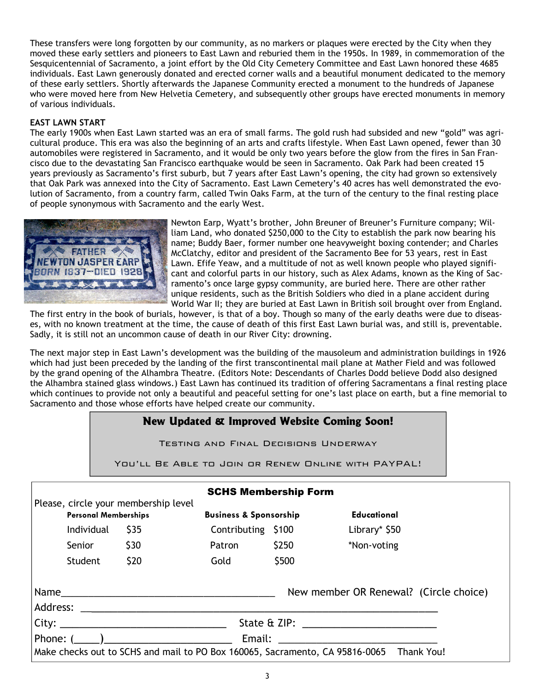These transfers were long forgotten by our community, as no markers or plaques were erected by the City when they moved these early settlers and pioneers to East Lawn and reburied them in the 1950s. In 1989, in commemoration of the Sesquicentennial of Sacramento, a joint effort by the Old City Cemetery Committee and East Lawn honored these 4685 individuals. East Lawn generously donated and erected corner walls and a beautiful monument dedicated to the memory of these early settlers. Shortly afterwards the Japanese Community erected a monument to the hundreds of Japanese who were moved here from New Helvetia Cemetery, and subsequently other groups have erected monuments in memory of various individuals.

# **EAST LAWN START**

The early 1900s when East Lawn started was an era of small farms. The gold rush had subsided and new "gold" was agricultural produce. This era was also the beginning of an arts and crafts lifestyle. When East Lawn opened, fewer than 30 automobiles were registered in Sacramento, and it would be only two years before the glow from the fires in San Francisco due to the devastating San Francisco earthquake would be seen in Sacramento. Oak Park had been created 15 years previously as Sacramento's first suburb, but 7 years after East Lawn's opening, the city had grown so extensively that Oak Park was annexed into the City of Sacramento. East Lawn Cemetery's 40 acres has well demonstrated the evolution of Sacramento, from a country farm, called Twin Oaks Farm, at the turn of the century to the final resting place of people synonymous with Sacramento and the early West.



Newton Earp, Wyatt's brother, John Breuner of Breuner's Furniture company; William Land, who donated \$250,000 to the City to establish the park now bearing his name; Buddy Baer, former number one heavyweight boxing contender; and Charles McClatchy, editor and president of the Sacramento Bee for 53 years, rest in East Lawn. Efife Yeaw, and a multitude of not as well known people who played significant and colorful parts in our history, such as Alex Adams, known as the King of Sacramento's once large gypsy community, are buried here. There are other rather unique residents, such as the British Soldiers who died in a plane accident during World War II; they are buried at East Lawn in British soil brought over from England.

The first entry in the book of burials, however, is that of a boy. Though so many of the early deaths were due to diseases, with no known treatment at the time, the cause of death of this first East Lawn burial was, and still is, preventable. Sadly, it is still not an uncommon cause of death in our River City: drowning.

The next major step in East Lawn's development was the building of the mausoleum and administration buildings in 1926 which had just been preceded by the landing of the first transcontinental mail plane at Mather Field and was followed by the grand opening of the Alhambra Theatre. (Editors Note: Descendants of Charles Dodd believe Dodd also designed the Alhambra stained glass windows.) East Lawn has continued its tradition of offering Sacramentans a final resting place which continues to provide not only a beautiful and peaceful setting for one's last place on earth, but a fine memorial to Sacramento and those whose efforts have helped create our community.

# **New Updated & Improved Website Coming Soon!**

Testing and Final Decisions Underway

You'll Be Able to Join or Renew Online with PAYPAL!

| <b>SCHS Membership Form</b>                                                                |            |                                   |                    |             |               |  |  |  |  |
|--------------------------------------------------------------------------------------------|------------|-----------------------------------|--------------------|-------------|---------------|--|--|--|--|
| Please, circle your membership level<br><b>Personal Memberships</b>                        |            | <b>Business &amp; Sponsorship</b> |                    | Educational |               |  |  |  |  |
|                                                                                            | Individual | \$35                              | Contributing \$100 |             | Library* \$50 |  |  |  |  |
|                                                                                            | Senior     | \$30                              | Patron             | \$250       | *Non-voting   |  |  |  |  |
|                                                                                            | Student    | \$20                              | Gold               | \$500       |               |  |  |  |  |
| New member OR Renewal? (Circle choice)<br>Name                                             |            |                                   |                    |             |               |  |  |  |  |
| State & ZIP: _________________________                                                     |            |                                   |                    |             |               |  |  |  |  |
| Phone: ( )<br>Email: <u>__________________</u>                                             |            |                                   |                    |             |               |  |  |  |  |
| Make checks out to SCHS and mail to PO Box 160065, Sacramento, CA 95816-0065<br>Thank You! |            |                                   |                    |             |               |  |  |  |  |